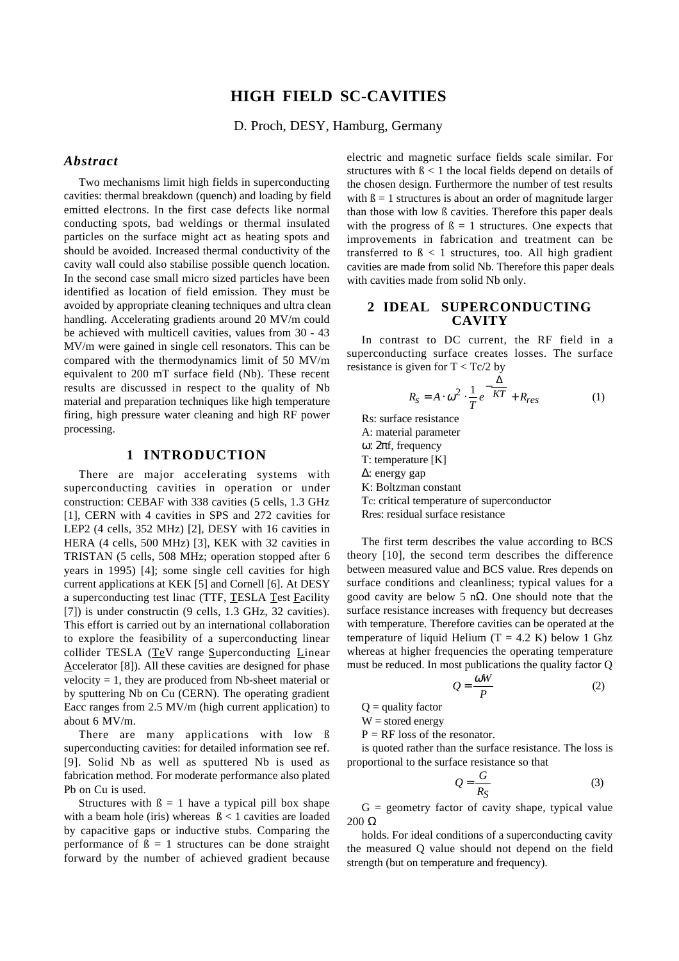# **HIGH FIELD SC-CAVITIES**

D. Proch, DESY, Hamburg, Germany

# *Abstract*

Two mechanisms limit high fields in superconducting cavities: thermal breakdown (quench) and loading by field emitted electrons. In the first case defects like normal conducting spots, bad weldings or thermal insulated particles on the surface might act as heating spots and should be avoided. Increased thermal conductivity of the cavity wall could also stabilise possible quench location. In the second case small micro sized particles have been identified as location of field emission. They must be avoided by appropriate cleaning techniques and ultra clean handling. Accelerating gradients around 20 MV/m could be achieved with multicell cavities, values from 30 - 43 MV/m were gained in single cell resonators. This can be compared with the thermodynamics limit of 50 MV/m equivalent to 200 mT surface field (Nb). These recent results are discussed in respect to the quality of Nb material and preparation techniques like high temperature firing, high pressure water cleaning and high RF power processing.

# **1 INTRODUCTION**

There are major accelerating systems with superconducting cavities in operation or under construction: CEBAF with 338 cavities (5 cells, 1.3 GHz [1], CERN with 4 cavities in SPS and 272 cavities for LEP2 (4 cells, 352 MHz) [2], DESY with 16 cavities in HERA (4 cells, 500 MHz) [3], KEK with 32 cavities in TRISTAN (5 cells, 508 MHz; operation stopped after 6 years in 1995) [4]; some single cell cavities for high current applications at KEK [5] and Cornell [6]. At DESY a superconducting test linac (TTF, TESLA Test Facility [7]) is under constructin (9 cells, 1.3 GHz, 32 cavities). This effort is carried out by an international collaboration to explore the feasibility of a superconducting linear collider TESLA (TeV range Superconducting Linear Accelerator [8]). All these cavities are designed for phase velocity = 1, they are produced from Nb-sheet material or by sputtering Nb on Cu (CERN). The operating gradient Eacc ranges from 2.5 MV/m (high current application) to about 6 MV/m.

There are many applications with low ß superconducting cavities: for detailed information see ref. [9]. Solid Nb as well as sputtered Nb is used as fabrication method. For moderate performance also plated Pb on Cu is used.

Structures with  $\beta = 1$  have a typical pill box shape with a beam hole (iris) whereas  $\beta < 1$  cavities are loaded by capacitive gaps or inductive stubs. Comparing the performance of  $\beta = 1$  structures can be done straight forward by the number of achieved gradient because electric and magnetic surface fields scale similar. For structures with  $\beta$  < 1 the local fields depend on details of the chosen design. Furthermore the number of test results with  $\beta = 1$  structures is about an order of magnitude larger than those with low ß cavities. Therefore this paper deals with the progress of  $\beta = 1$  structures. One expects that improvements in fabrication and treatment can be transferred to  $\beta$  < 1 structures, too. All high gradient cavities are made from solid Nb. Therefore this paper deals with cavities made from solid Nb only.

# **2 IDEAL SUPERCONDUCTING CAVITY**

In contrast to DC current, the RF field in a superconducting surface creates losses. The surface resistance is given for  $T < Tc/2$  by

$$
R_S = A \cdot \omega^2 \cdot \frac{1}{T} e^{-\frac{\Delta}{KT}} + R_{res}
$$
 (1)

Rs: surface resistance A: material parameter ω: 2πf, frequency T: temperature [K] ∆: energy gap K: Boltzman constant Tc: critical temperature of superconductor

Rres: residual surface resistance

The first term describes the value according to BCS theory [10], the second term describes the difference between measured value and BCS value. Rres depends on surface conditions and cleanliness; typical values for a good cavity are below 5 nΩ. One should note that the surface resistance increases with frequency but decreases with temperature. Therefore cavities can be operated at the temperature of liquid Helium  $(T = 4.2 \text{ K})$  below 1 Ghz whereas at higher frequencies the operating temperature must be reduced. In most publications the quality factor Q

$$
Q = \frac{\omega W}{P} \tag{2}
$$

 $Q =$  quality factor

 $W =$  stored energy

 $P = RF$  loss of the resonator.

is quoted rather than the surface resistance. The loss is proportional to the surface resistance so that

$$
Q = \frac{G}{R_S} \tag{3}
$$

 $G =$  geometry factor of cavity shape, typical value 200 Ω

holds. For ideal conditions of a superconducting cavity the measured Q value should not depend on the field strength (but on temperature and frequency).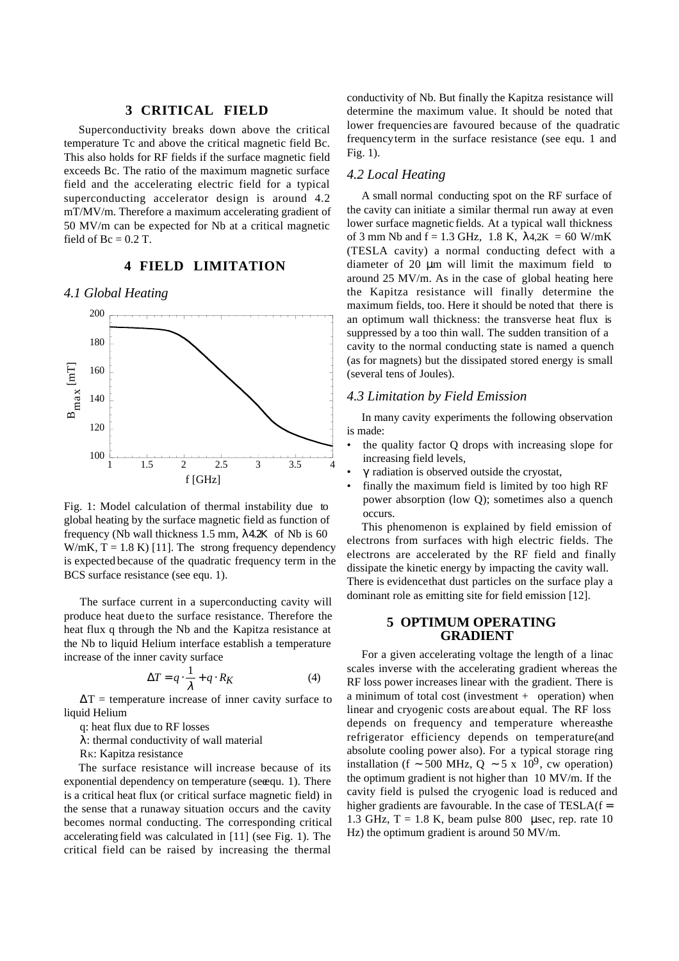### **3 CRITICAL FIELD**

Superconductivity breaks down above the critical temperature Tc and above the critical magnetic field Bc. This also holds for RF fields if the surface magnetic field exceeds Bc. The ratio of the maximum magnetic surface field and the accelerating electric field for a typical superconducting accelerator design is around 4.2 mT/MV/m. Therefore a maximum accelerating gradient of 50 MV/m can be expected for Nb at a critical magnetic field of  $Bc = 0.2$  T.

#### **4 FIELD LIMITATION**

*4.1 Global Heating*



Fig. 1: Model calculation of thermal instability due to global heating by the surface magnetic field as function of frequency (Nb wall thickness 1.5 mm, λ4.2Κ of Nb is 60 W/mK,  $T = 1.8$  K) [11]. The strong frequency dependency is expected because of the quadratic frequency term in the BCS surface resistance (see equ. 1).

The surface current in a superconducting cavity will produce heat due to the surface resistance. Therefore the heat flux q through the Nb and the Kapitza resistance at the Nb to liquid Helium interface establish a temperature increase of the inner cavity surface

$$
\Delta T = q \cdot \frac{1}{\lambda} + q \cdot R_K \tag{4}
$$

 $\Delta T$  = temperature increase of inner cavity surface to liquid Helium

q: heat flux due to RF losses

λ: thermal conductivity of wall material

RK: Kapitza resistance

The surface resistance will increase because of its exponential dependency on temperature (see qu. 1). There is a critical heat flux (or critical surface magnetic field) in the sense that a runaway situation occurs and the cavity becomes normal conducting. The corresponding critical accelerating field was calculated in [11] (see Fig. 1). The critical field can be raised by increasing the thermal

conductivity of Nb. But finally the Kapitza resistance will determine the maximum value. It should be noted that lower frequencies are favoured because of the quadratic frequency term in the surface resistance (see equ. 1 and Fig. 1).

# *4.2 Local Heating*

A small normal conducting spot on the RF surface of the cavity can initiate a similar thermal run away at even lower surface magnetic fields. At a typical wall thickness of 3 mm Nb and  $f = 1.3$  GHz, 1.8 K,  $\lambda$ 4.2K = 60 W/mK (TESLA cavity) a normal conducting defect with a diameter of 20 µm will limit the maximum field to around 25 MV/m. As in the case of global heating here the Kapitza resistance will finally determine the maximum fields, too. Here it should be noted that there is an optimum wall thickness: the transverse heat flux is suppressed by a too thin wall. The sudden transition of a cavity to the normal conducting state is named a quench (as for magnets) but the dissipated stored energy is small (several tens of Joules).

#### *4.3 Limitation by Field Emission*

In many cavity experiments the following observation is made:

- the quality factor Q drops with increasing slope for increasing field levels,
- $\gamma$  radiation is observed outside the cryostat,
- finally the maximum field is limited by too high RF power absorption (low Q); sometimes also a quench occurs.

This phenomenon is explained by field emission of electrons from surfaces with high electric fields. The electrons are accelerated by the RF field and finally dissipate the kinetic energy by impacting the cavity wall. There is evidence that dust particles on the surface play a dominant role as emitting site for field emission [12].

### **5 OPTIMUM OPERATING GRADIENT**

For a given accelerating voltage the length of a linac scales inverse with the accelerating gradient whereas the RF loss power increases linear with the gradient. There is a minimum of total cost (investment  $+$  operation) when linear and cryogenic costs are about equal. The RF loss depends on frequency and temperature whereas the refrigerator efficiency depends on temperature (and absolute cooling power also). For a typical storage ring installation (f ~ 500 MHz, Q ~ 5 x 10<sup>9</sup>, cw operation) the optimum gradient is not higher than 10 MV/m. If the cavity field is pulsed the cryogenic load is reduced and higher gradients are favourable. In the case of  $TESLA(f =$ 1.3 GHz,  $T = 1.8$  K, beam pulse 800 µsec, rep. rate 10 Hz) the optimum gradient is around 50 MV/m.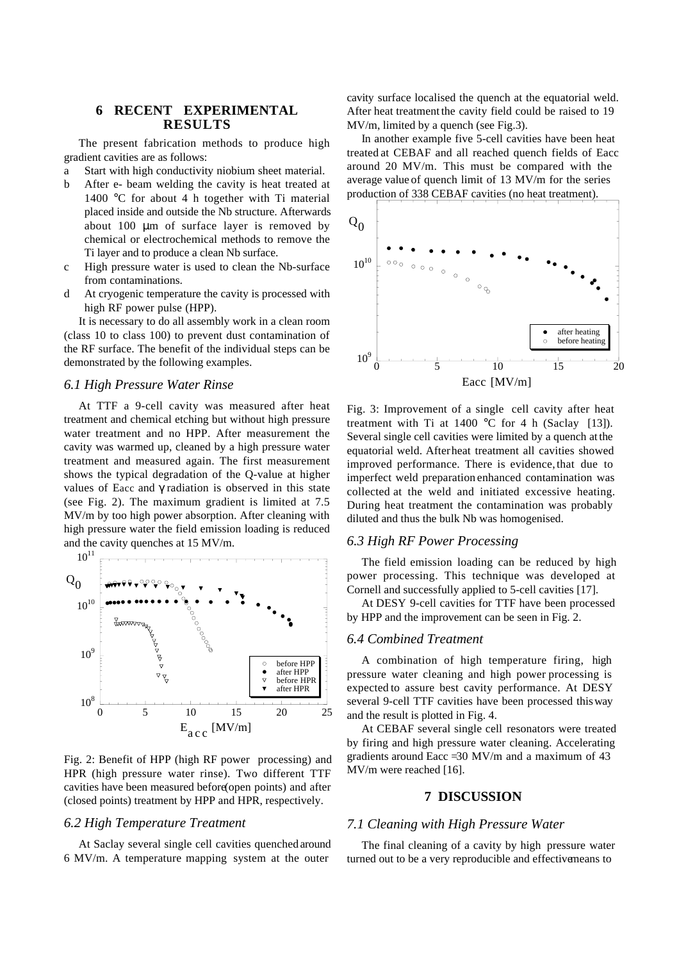# **6 RECENT EXPERIMENTAL RESULTS**

The present fabrication methods to produce high gradient cavities are as follows:

a Start with high conductivity niobium sheet material.

- b After e- beam welding the cavity is heat treated at 1400 °C for about 4 h together with Ti material placed inside and outside the Nb structure. Afterwards about 100 µm of surface layer is removed by chemical or electrochemical methods to remove the Ti layer and to produce a clean Nb surface.
- c High pressure water is used to clean the Nb-surface from contaminations.
- d At cryogenic temperature the cavity is processed with high RF power pulse (HPP).

It is necessary to do all assembly work in a clean room (class 10 to class 100) to prevent dust contamination of the RF surface. The benefit of the individual steps can be demonstrated by the following examples.

#### *6.1 High Pressure Water Rinse*

At TTF a 9-cell cavity was measured after heat treatment and chemical etching but without high pressure water treatment and no HPP. After measurement the cavity was warmed up, cleaned by a high pressure water treatment and measured again. The first measurement shows the typical degradation of the Q-value at higher values of Eacc and  $\gamma$  radiation is observed in this state (see Fig. 2). The maximum gradient is limited at 7.5 MV/m by too high power absorption. After cleaning with high pressure water the field emission loading is reduced and the cavity quenches at 15 MV/m.



Fig. 2: Benefit of HPP (high RF power processing) and HPR (high pressure water rinse). Two different TTF cavities have been measured before (open points) and after (closed points) treatment by HPP and HPR, respectively.

### *6.2 High Temperature Treatment*

At Saclay several single cell cavities quenched around 6 MV/m. A temperature mapping system at the outer

cavity surface localised the quench at the equatorial weld. After heat treatment the cavity field could be raised to 19 MV/m, limited by a quench (see Fig.3).

In another example five 5-cell cavities have been heat treated at CEBAF and all reached quench fields of Eacc around 20 MV/m. This must be compared with the average value of quench limit of 13 MV/m for the series production of 338 CEBAF cavities (no heat treatment).



Fig. 3: Improvement of a single cell cavity after heat treatment with Ti at  $1400$  °C for 4 h (Saclay [13]). Several single cell cavities were limited by a quench at the equatorial weld. After heat treatment all cavities showed improved performance. There is evidence, that due to imperfect weld preparation enhanced contamination was collected at the weld and initiated excessive heating. During heat treatment the contamination was probably diluted and thus the bulk Nb was homogenised.

### *6.3 High RF Power Processing*

The field emission loading can be reduced by high power processing. This technique was developed at Cornell and successfully applied to 5-cell cavities [17].

At DESY 9-cell cavities for TTF have been processed by HPP and the improvement can be seen in Fig. 2.

#### *6.4 Combined Treatment*

A combination of high temperature firing, high pressure water cleaning and high power processing is expected to assure best cavity performance. At DESY several 9-cell TTF cavities have been processed this way and the result is plotted in Fig. 4.

At CEBAF several single cell resonators were treated by firing and high pressure water cleaning. Accelerating gradients around Eacc  $=30$  MV/m and a maximum of 43 MV/m were reached [16].

### **7 DISCUSSION**

#### *7.1 Cleaning with High Pressure Water*

The final cleaning of a cavity by high pressure water turned out to be a very reproducible and effective means to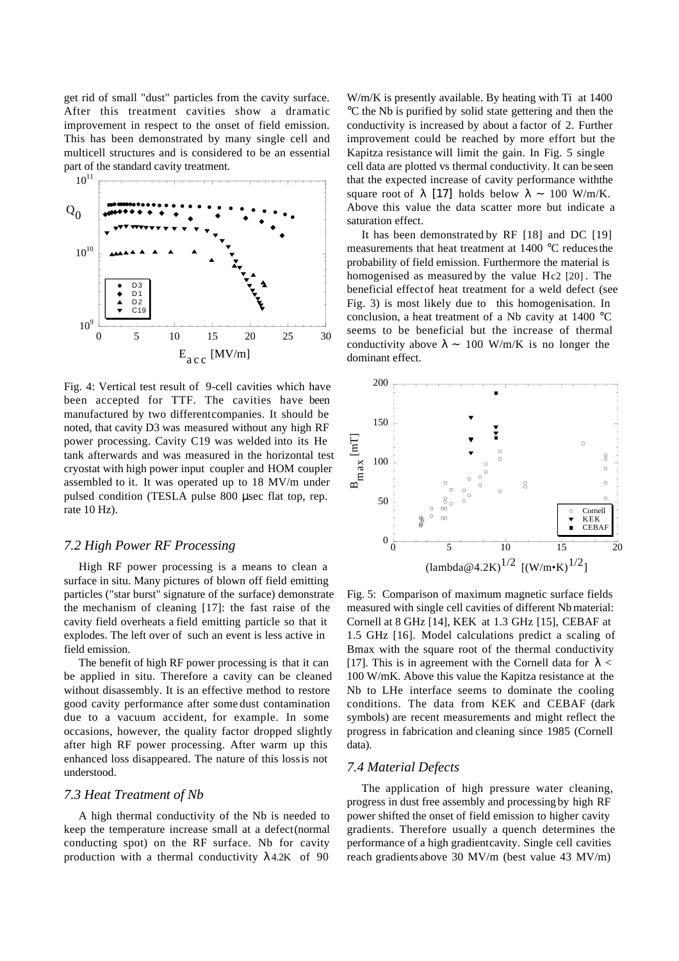get rid of small "dust" particles from the cavity surface. After this treatment cavities show a dramatic improvement in respect to the onset of field emission. This has been demonstrated by many single cell and multicell structures and is considered to be an essential part of the standard cavity treatment.



Fig. 4: Vertical test result of 9-cell cavities which have been accepted for TTF. The cavities have been manufactured by two different companies. It should be noted, that cavity D3 was measured without any high RF power processing. Cavity C19 was welded into its He tank afterwards and was measured in the horizontal test cryostat with high power input coupler and HOM coupler assembled to it. It was operated up to 18 MV/m under pulsed condition (TESLA pulse 800 µsec flat top, rep. rate 10 Hz).

# *7.2 High Power RF Processing*

High RF power processing is a means to clean a surface in situ. Many pictures of blown off field emitting particles ("star burst" signature of the surface) demonstrate the mechanism of cleaning [17]: the fast raise of the cavity field overheats a field emitting particle so that it explodes. The left over of such an event is less active in field emission.

The benefit of high RF power processing is that it can be applied in situ. Therefore a cavity can be cleaned without disassembly. It is an effective method to restore good cavity performance after some dust contamination due to a vacuum accident, for example. In some occasions, however, the quality factor dropped slightly after high RF power processing. After warm up this enhanced loss disappeared. The nature of this loss is not understood.

### *7.3 Heat Treatment of Nb*

A high thermal conductivity of the Nb is needed to keep the temperature increase small at a defect (normal conducting spot) on the RF surface. Nb for cavity production with a thermal conductivity  $\lambda$ 4.2K of 90

W/m/K is presently available. By heating with Ti at 1400 °C the Nb is purified by solid state gettering and then the conductivity is increased by about a factor of 2. Further improvement could be reached by more effort but the Kapitza resistance will limit the gain. In Fig. 5 single cell data are plotted vs thermal conductivity. It can be seen that the expected increase of cavity performance with the square root of  $\lambda$  [17] holds below  $\lambda \sim 100$  W/m/K. Above this value the data scatter more but indicate a saturation effect.

It has been demonstrated by RF [18] and DC [19] measurements that heat treatment at 1400 °C reduces the probability of field emission. Furthermore the material is homogenised as measured by the value Hc2 [20] . The beneficial effect of heat treatment for a weld defect (see Fig. 3) is most likely due to this homogenisation. In conclusion, a heat treatment of a Nb cavity at  $1400^{\circ}$ C seems to be beneficial but the increase of thermal conductivity above  $\lambda \sim 100$  W/m/K is no longer the dominant effect.



Fig. 5: Comparison of maximum magnetic surface fields measured with single cell cavities of different Nb material: Cornell at 8 GHz [14], KEK at 1.3 GHz [15], CEBAF at 1.5 GHz [16]. Model calculations predict a scaling of Bmax with the square root of the thermal conductivity [17]. This is in agreement with the Cornell data for  $\lambda$  < 100 W/mK. Above this value the Kapitza resistance at the Nb to LHe interface seems to dominate the cooling conditions. The data from KEK and CEBAF (dark symbols) are recent measurements and might reflect the progress in fabrication and cleaning since 1985 (Cornell data).

# *7.4 Material Defects*

The application of high pressure water cleaning, progress in dust free assembly and processing by high RF power shifted the onset of field emission to higher cavity gradients. Therefore usually a quench determines the performance of a high gradient cavity. Single cell cavities reach gradients above 30 MV/m (best value 43 MV/m)